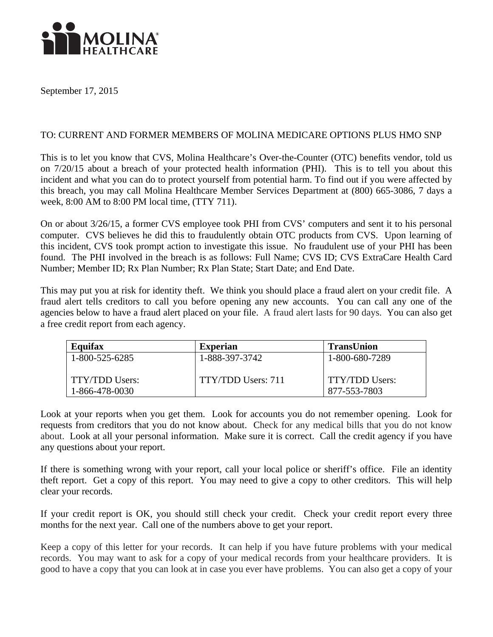

September 17, 2015

## TO: CURRENT AND FORMER MEMBERS OF MOLINA MEDICARE OPTIONS PLUS HMO SNP

This is to let you know that CVS, Molina Healthcare's Over-the-Counter (OTC) benefits vendor, told us on 7/20/15 about a breach of your protected health information (PHI). This is to tell you about this incident and what you can do to protect yourself from potential harm. To find out if you were affected by this breach, you may call Molina Healthcare Member Services Department at (800) 665-3086, 7 days a week, 8:00 AM to 8:00 PM local time, (TTY 711).

On or about 3/26/15, a former CVS employee took PHI from CVS' computers and sent it to his personal computer. CVS believes he did this to fraudulently obtain OTC products from CVS. Upon learning of this incident, CVS took prompt action to investigate this issue. No fraudulent use of your PHI has been found. The PHI involved in the breach is as follows: Full Name; CVS ID; CVS ExtraCare Health Card Number; Member ID; Rx Plan Number; Rx Plan State; Start Date; and End Date.

This may put you at risk for identity theft. We think you should place a fraud alert on your credit file. A fraud alert tells creditors to call you before opening any new accounts. You can call any one of the agencies below to have a fraud alert placed on your file. A fraud alert lasts for 90 days. You can also get a free credit report from each agency.

| <b>Equifax</b>                   | <b>Experian</b>    | <b>TransUnion</b>                     |
|----------------------------------|--------------------|---------------------------------------|
| 1-800-525-6285                   | 1-888-397-3742     | 1-800-680-7289                        |
| TTY/TDD Users:<br>1-866-478-0030 | TTY/TDD Users: 711 | <b>TTY/TDD Users:</b><br>877-553-7803 |

Look at your reports when you get them. Look for accounts you do not remember opening. Look for requests from creditors that you do not know about. Check for any medical bills that you do not know about. Look at all your personal information. Make sure it is correct. Call the credit agency if you have any questions about your report.

If there is something wrong with your report, call your local police or sheriff's office. File an identity theft report. Get a copy of this report. You may need to give a copy to other creditors. This will help clear your records.

If your credit report is OK, you should still check your credit. Check your credit report every three months for the next year. Call one of the numbers above to get your report.

Keep a copy of this letter for your records. It can help if you have future problems with your medical records. You may want to ask for a copy of your medical records from your healthcare providers. It is good to have a copy that you can look at in case you ever have problems. You can also get a copy of your